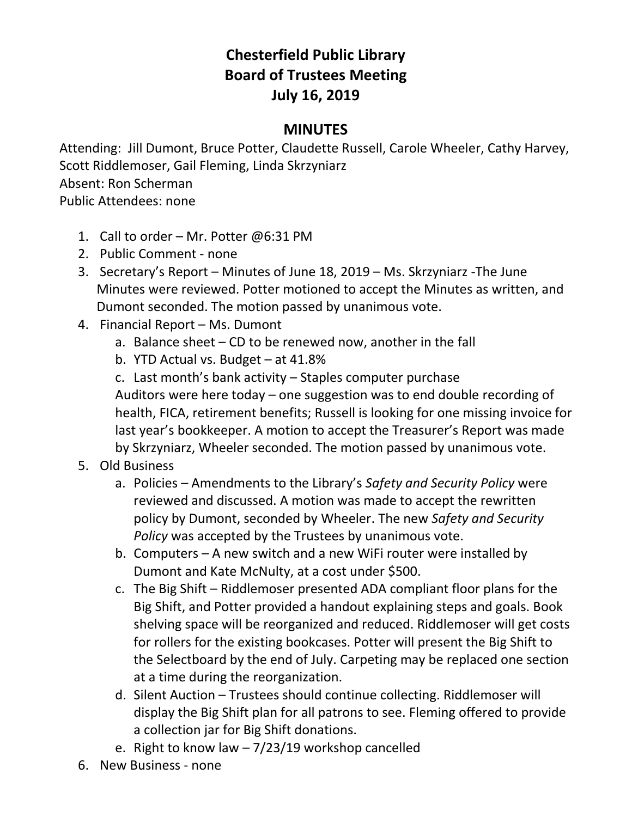## **Chesterfield Public Library Board of Trustees Meeting July 16, 2019**

## **MINUTES**

Attending: Jill Dumont, Bruce Potter, Claudette Russell, Carole Wheeler, Cathy Harvey, Scott Riddlemoser, Gail Fleming, Linda Skrzyniarz Absent: Ron Scherman

Public Attendees: none

- 1. Call to order Mr. Potter @6:31 PM
- 2. Public Comment none
- 3. Secretary's Report Minutes of June 18, 2019 Ms. Skrzyniarz -The June Minutes were reviewed. Potter motioned to accept the Minutes as written, and Dumont seconded. The motion passed by unanimous vote.
- 4. Financial Report Ms. Dumont
	- a. Balance sheet CD to be renewed now, another in the fall
	- b. YTD Actual vs. Budget at 41.8%
	- c. Last month's bank activity Staples computer purchase Auditors were here today – one suggestion was to end double recording of health, FICA, retirement benefits; Russell is looking for one missing invoice for last year's bookkeeper. A motion to accept the Treasurer's Report was made by Skrzyniarz, Wheeler seconded. The motion passed by unanimous vote.

## 5. Old Business

- a. Policies Amendments to the Library's *Safety and Security Policy* were reviewed and discussed. A motion was made to accept the rewritten policy by Dumont, seconded by Wheeler. The new *Safety and Security Policy* was accepted by the Trustees by unanimous vote.
- b. Computers A new switch and a new WiFi router were installed by Dumont and Kate McNulty, at a cost under \$500.
- c. The Big Shift Riddlemoser presented ADA compliant floor plans for the Big Shift, and Potter provided a handout explaining steps and goals. Book shelving space will be reorganized and reduced. Riddlemoser will get costs for rollers for the existing bookcases. Potter will present the Big Shift to the Selectboard by the end of July. Carpeting may be replaced one section at a time during the reorganization.
- d. Silent Auction Trustees should continue collecting. Riddlemoser will display the Big Shift plan for all patrons to see. Fleming offered to provide a collection jar for Big Shift donations.
- e. Right to know law  $-7/23/19$  workshop cancelled
- 6. New Business none